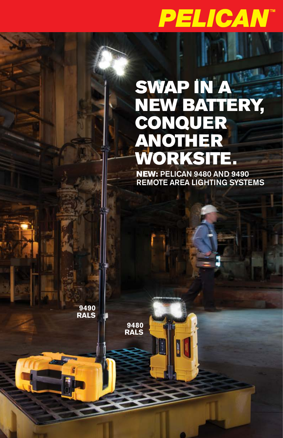# **PELICAN**

## SWAP IN A NEW BATTERY, CONQUER ANOTHER WORKSITE.

NEW: PELICAN 9480 AND 9490 REMOTE AREA LIGHTING SYSTEMS

**9490 RALS**

**9480RALS**

**SHOP** 

De Jiriya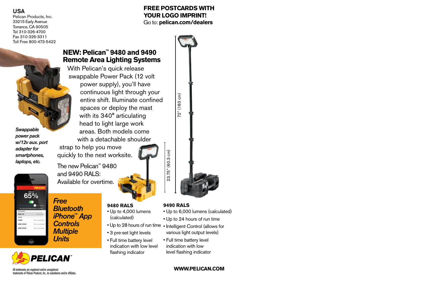#### USA

Pelican Products, Inc. 23215 Early Avenue Torrance, CA 90505 Tel 310-326-4700 Fax 310-326-3311 Toll Free 800-473-5422

*Swappable power pack w/12v aux. port adapter for smartphones, laptops, etc.*

 $65%$ 

 $1000$ -**HAND DOOR**  **FREE POSTCARDS WITH YOUR LOGO IMPRINT!**  Go to: **pelican.com/dealers**



With Pelican's quick release swappable Power Pack (12 volt power supply), you'll have continuous light through your entire shift. Illuminate confined spaces or deploy the mast with its 340° articulating head to light large work areas. Both models come with a detachable shoulder

strap to help you move quickly to the next worksite.

The new Pelican™ 9480 and 9490 RALS: Available for overtime.

- *Bluetooth iPhone™ App Controls Multiple*
- *Free Units*



- Up to 4,000 lumens
- (calculated)
- Up to 28 hours of run time Intelligent Control (allows for
- 3 pre-set light levels
- Full time battery level indication with low level flashing indicator

various light output levels) • Full time battery level

• Up to 6,000 lumens (calculated) • Up to 24 hours of run time

indication with low level flashing indicator

#### **WWW.PELICAN.COM**

All trademarks are registered and/or unregistered trademarks of Pelican Products, Inc., its subsidiaries and/or affiliates.

**PELICAN** 

23.75" (60.3 cm) 23.75" (60.3 cm)

72" (183 cm)

72" (183 cm)

**9490 RALS**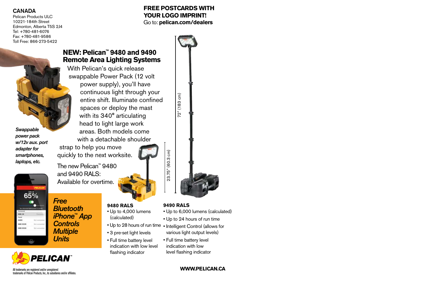#### CANADA

Pelican Products ULC 10221-184th Street Edmonton, Alberta T5S 214 Tel: +780-481-6076 Fax: +780-481-9586 Toll Free: 866-273-5422

*Swappable power pack w/12v aux. port adapter for smartphones, laptops, etc.*



*Free Bluetooth iPhone™ App Controls Multiple Units*

### **NEW: Pelican™ 9480 and 9490 Remote Area Lighting Systems**

With Pelican's quick release swappable Power Pack (12 volt power supply), you'll have continuous light through your entire shift. Illuminate confined spaces or deploy the mast with its 340° articulating head to light large work areas. Both models come with a detachable shoulder

strap to help you move quickly to the next worksite.

The new Pelican™ 9480 and 9490 RALS: Available for overtime.

- **9480 RALS**
- Up to 4,000 lumens (calculated)
- 
- 3 pre-set light levels
- Full time battery level indication with low level flashing indicator

• Up to 24 hours of run time • Up to 28 hours of run time • Intelligent Control (allows for various light output levels)

• Up to 6,000 lumens (calculated)

• Full time battery level indication with low level flashing indicator

**9490 RALS**

23.75" (60.3 cm)

23.75" (60.3 cm)

#### **WWW.PELICAN.CA**

All trademarks are registered and/or unregistered trademarks of Pelican Products, Inc., its subsidiaries and/or affiliates.

**PELICAN** 

**FREE POSTCARDS WITH YOUR LOGO IMPRINT!**  Go to: **pelican.com/dealers**

72" (183 cm)

72" (183 cm)